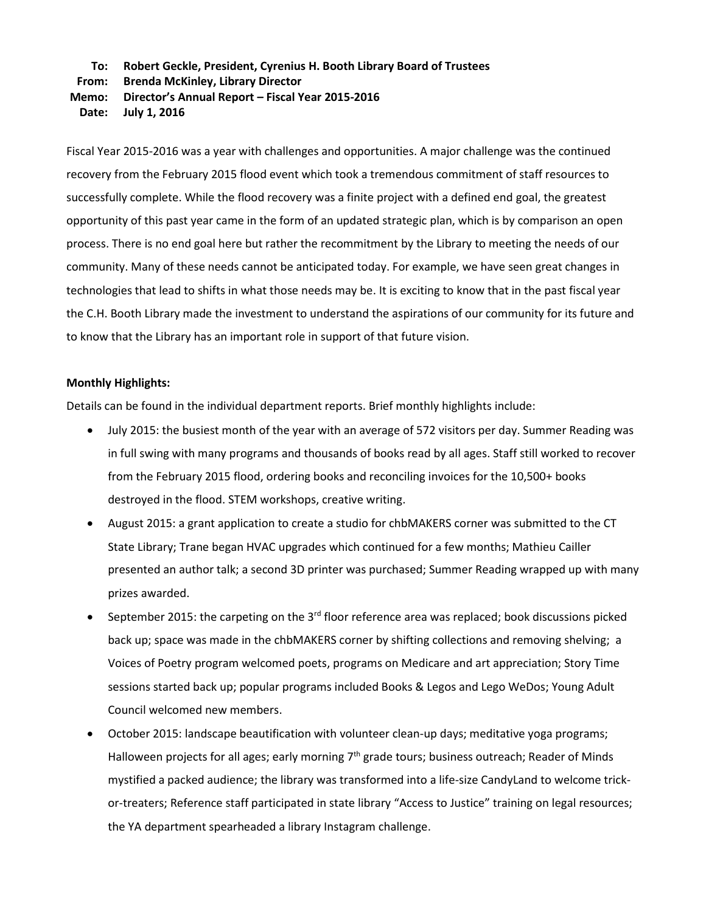## **To: Robert Geckle, President, Cyrenius H. Booth Library Board of Trustees**

**From: Brenda McKinley, Library Director**

## **Memo: Director's Annual Report – Fiscal Year 2015-2016**

**Date: July 1, 2016**

Fiscal Year 2015-2016 was a year with challenges and opportunities. A major challenge was the continued recovery from the February 2015 flood event which took a tremendous commitment of staff resources to successfully complete. While the flood recovery was a finite project with a defined end goal, the greatest opportunity of this past year came in the form of an updated strategic plan, which is by comparison an open process. There is no end goal here but rather the recommitment by the Library to meeting the needs of our community. Many of these needs cannot be anticipated today. For example, we have seen great changes in technologies that lead to shifts in what those needs may be. It is exciting to know that in the past fiscal year the C.H. Booth Library made the investment to understand the aspirations of our community for its future and to know that the Library has an important role in support of that future vision.

## **Monthly Highlights:**

Details can be found in the individual department reports. Brief monthly highlights include:

- July 2015: the busiest month of the year with an average of 572 visitors per day. Summer Reading was in full swing with many programs and thousands of books read by all ages. Staff still worked to recover from the February 2015 flood, ordering books and reconciling invoices for the 10,500+ books destroyed in the flood. STEM workshops, creative writing.
- August 2015: a grant application to create a studio for chbMAKERS corner was submitted to the CT State Library; Trane began HVAC upgrades which continued for a few months; Mathieu Cailler presented an author talk; a second 3D printer was purchased; Summer Reading wrapped up with many prizes awarded.
- September 2015: the carpeting on the  $3<sup>rd</sup>$  floor reference area was replaced; book discussions picked back up; space was made in the chbMAKERS corner by shifting collections and removing shelving; a Voices of Poetry program welcomed poets, programs on Medicare and art appreciation; Story Time sessions started back up; popular programs included Books & Legos and Lego WeDos; Young Adult Council welcomed new members.
- October 2015: landscape beautification with volunteer clean-up days; meditative yoga programs; Halloween projects for all ages; early morning 7<sup>th</sup> grade tours; business outreach; Reader of Minds mystified a packed audience; the library was transformed into a life-size CandyLand to welcome trickor-treaters; Reference staff participated in state library "Access to Justice" training on legal resources; the YA department spearheaded a library Instagram challenge.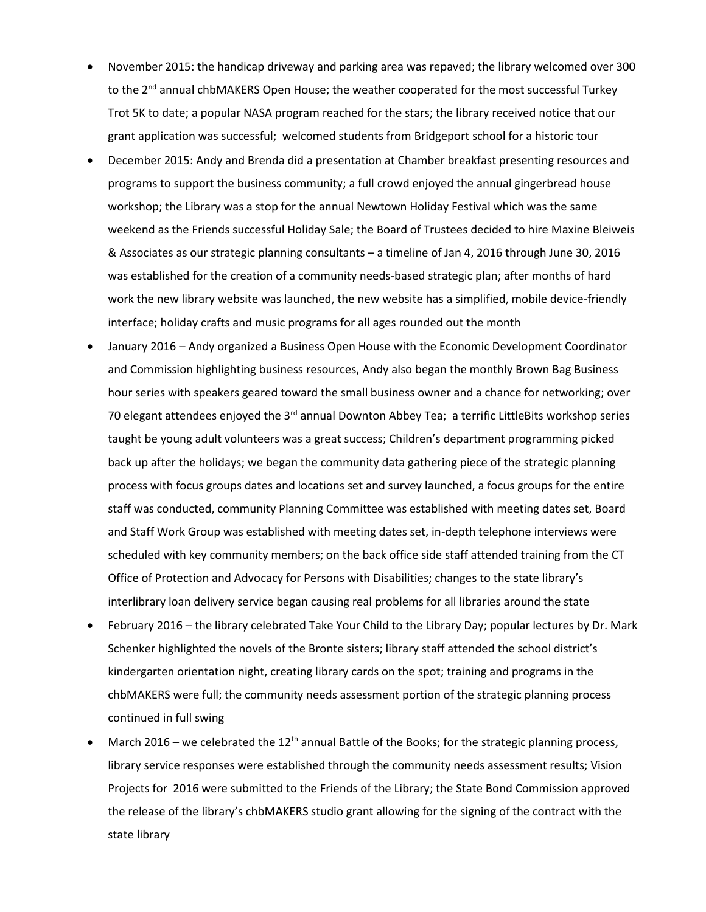- November 2015: the handicap driveway and parking area was repaved; the library welcomed over 300 to the  $2^{nd}$  annual chbMAKERS Open House; the weather cooperated for the most successful Turkey Trot 5K to date; a popular NASA program reached for the stars; the library received notice that our grant application was successful; welcomed students from Bridgeport school for a historic tour
- December 2015: Andy and Brenda did a presentation at Chamber breakfast presenting resources and programs to support the business community; a full crowd enjoyed the annual gingerbread house workshop; the Library was a stop for the annual Newtown Holiday Festival which was the same weekend as the Friends successful Holiday Sale; the Board of Trustees decided to hire Maxine Bleiweis & Associates as our strategic planning consultants – a timeline of Jan 4, 2016 through June 30, 2016 was established for the creation of a community needs-based strategic plan; after months of hard work the new library website was launched, the new website has a simplified, mobile device-friendly interface; holiday crafts and music programs for all ages rounded out the month
- January 2016 Andy organized a Business Open House with the Economic Development Coordinator and Commission highlighting business resources, Andy also began the monthly Brown Bag Business hour series with speakers geared toward the small business owner and a chance for networking; over 70 elegant attendees enjoyed the 3 $^{rd}$  annual Downton Abbey Tea; a terrific LittleBits workshop series taught be young adult volunteers was a great success; Children's department programming picked back up after the holidays; we began the community data gathering piece of the strategic planning process with focus groups dates and locations set and survey launched, a focus groups for the entire staff was conducted, community Planning Committee was established with meeting dates set, Board and Staff Work Group was established with meeting dates set, in-depth telephone interviews were scheduled with key community members; on the back office side staff attended training from the CT Office of Protection and Advocacy for Persons with Disabilities; changes to the state library's interlibrary loan delivery service began causing real problems for all libraries around the state
- February 2016 the library celebrated Take Your Child to the Library Day; popular lectures by Dr. Mark Schenker highlighted the novels of the Bronte sisters; library staff attended the school district's kindergarten orientation night, creating library cards on the spot; training and programs in the chbMAKERS were full; the community needs assessment portion of the strategic planning process continued in full swing
- March 2016 we celebrated the  $12<sup>th</sup>$  annual Battle of the Books; for the strategic planning process, library service responses were established through the community needs assessment results; Vision Projects for 2016 were submitted to the Friends of the Library; the State Bond Commission approved the release of the library's chbMAKERS studio grant allowing for the signing of the contract with the state library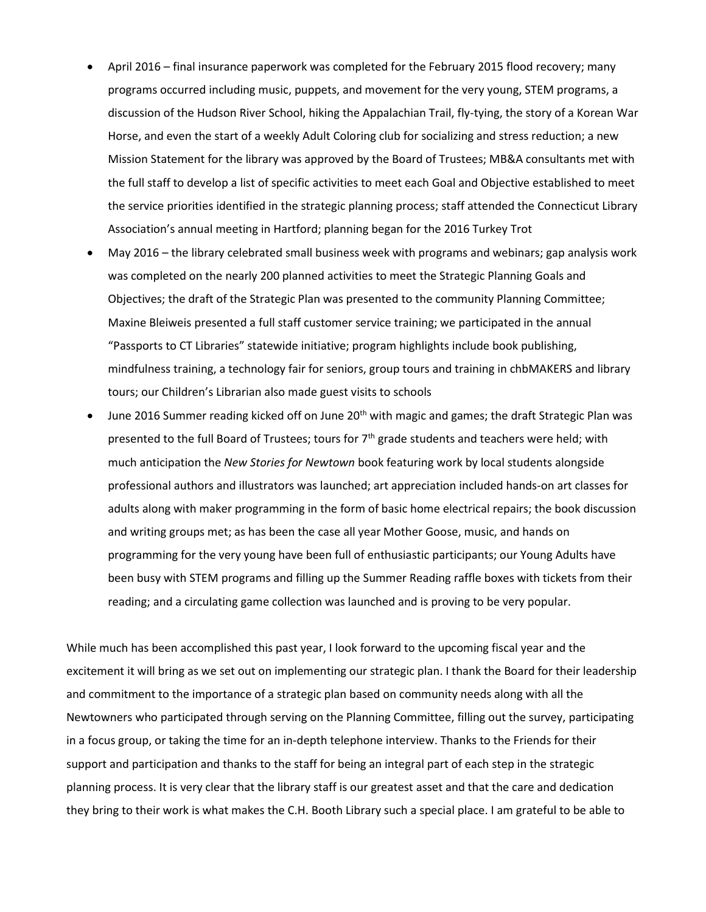- April 2016 final insurance paperwork was completed for the February 2015 flood recovery; many programs occurred including music, puppets, and movement for the very young, STEM programs, a discussion of the Hudson River School, hiking the Appalachian Trail, fly-tying, the story of a Korean War Horse, and even the start of a weekly Adult Coloring club for socializing and stress reduction; a new Mission Statement for the library was approved by the Board of Trustees; MB&A consultants met with the full staff to develop a list of specific activities to meet each Goal and Objective established to meet the service priorities identified in the strategic planning process; staff attended the Connecticut Library Association's annual meeting in Hartford; planning began for the 2016 Turkey Trot
- May 2016 the library celebrated small business week with programs and webinars; gap analysis work was completed on the nearly 200 planned activities to meet the Strategic Planning Goals and Objectives; the draft of the Strategic Plan was presented to the community Planning Committee; Maxine Bleiweis presented a full staff customer service training; we participated in the annual "Passports to CT Libraries" statewide initiative; program highlights include book publishing, mindfulness training, a technology fair for seniors, group tours and training in chbMAKERS and library tours; our Children's Librarian also made guest visits to schools
- June 2016 Summer reading kicked off on June 20<sup>th</sup> with magic and games; the draft Strategic Plan was presented to the full Board of Trustees; tours for  $7<sup>th</sup>$  grade students and teachers were held; with much anticipation the *New Stories for Newtown* book featuring work by local students alongside professional authors and illustrators was launched; art appreciation included hands-on art classes for adults along with maker programming in the form of basic home electrical repairs; the book discussion and writing groups met; as has been the case all year Mother Goose, music, and hands on programming for the very young have been full of enthusiastic participants; our Young Adults have been busy with STEM programs and filling up the Summer Reading raffle boxes with tickets from their reading; and a circulating game collection was launched and is proving to be very popular.

While much has been accomplished this past year, I look forward to the upcoming fiscal year and the excitement it will bring as we set out on implementing our strategic plan. I thank the Board for their leadership and commitment to the importance of a strategic plan based on community needs along with all the Newtowners who participated through serving on the Planning Committee, filling out the survey, participating in a focus group, or taking the time for an in-depth telephone interview. Thanks to the Friends for their support and participation and thanks to the staff for being an integral part of each step in the strategic planning process. It is very clear that the library staff is our greatest asset and that the care and dedication they bring to their work is what makes the C.H. Booth Library such a special place. I am grateful to be able to